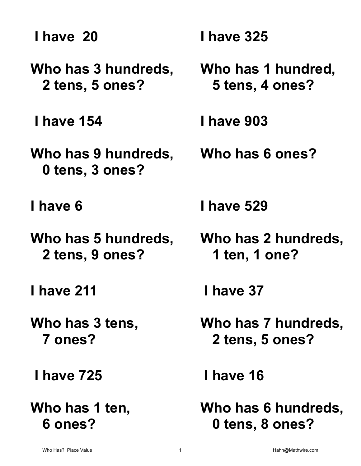| <b>I have 325</b>                      |
|----------------------------------------|
| Who has 1 hundred,<br>5 tens, 4 ones?  |
| <b>I have 903</b>                      |
| Who has 6 ones?                        |
| <b>I have 529</b>                      |
| Who has 2 hundreds,<br>1 ten, 1 one?   |
| I have 37                              |
| Who has 7 hundreds,<br>2 tens, 5 ones? |
| I have 16                              |
| Who has 6 hundreds,<br>0 tens, 8 ones? |
|                                        |